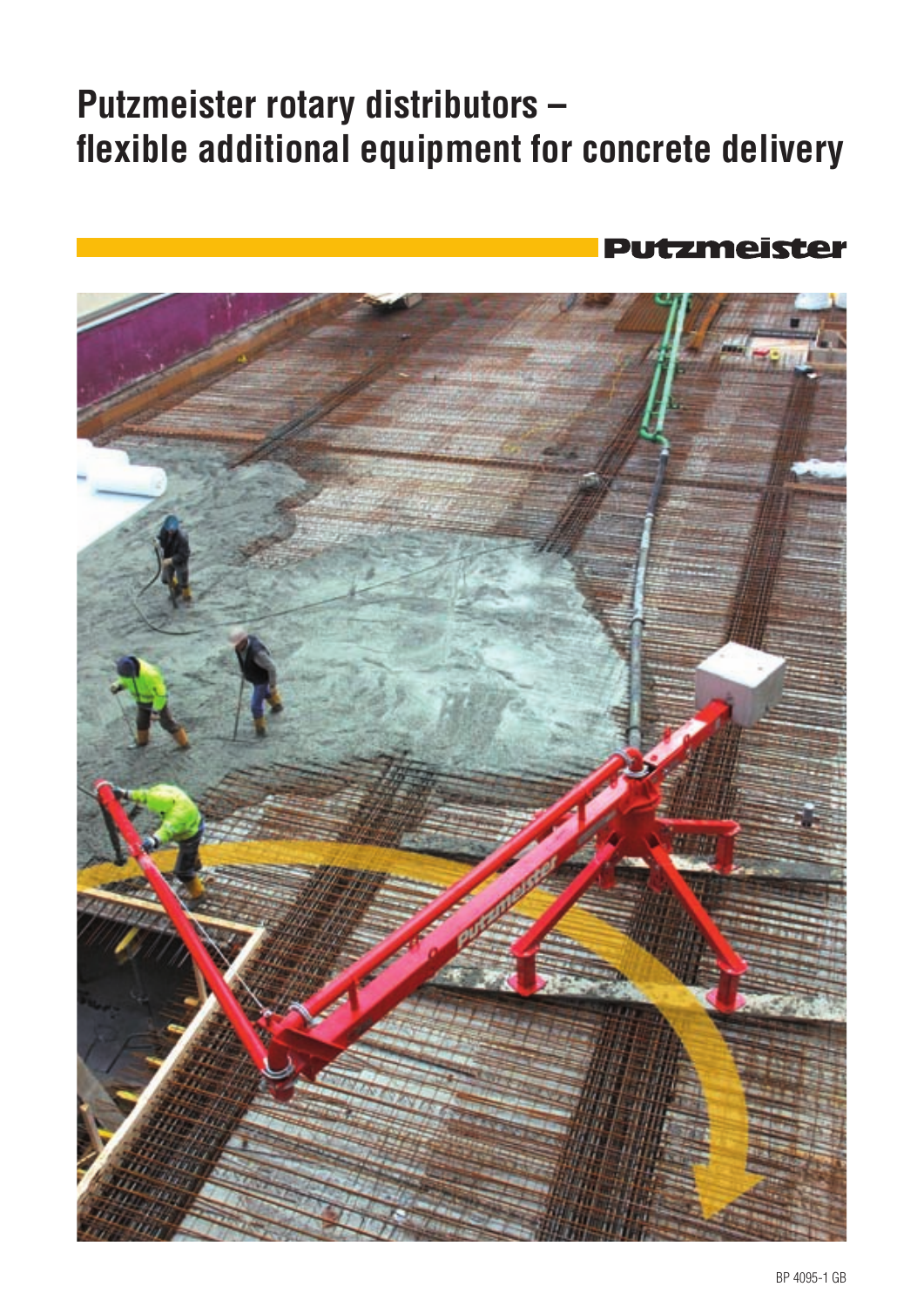# **Putzmeister rotary distributors – flexible additional equipment for concrete delivery**

**Putzmeister** 

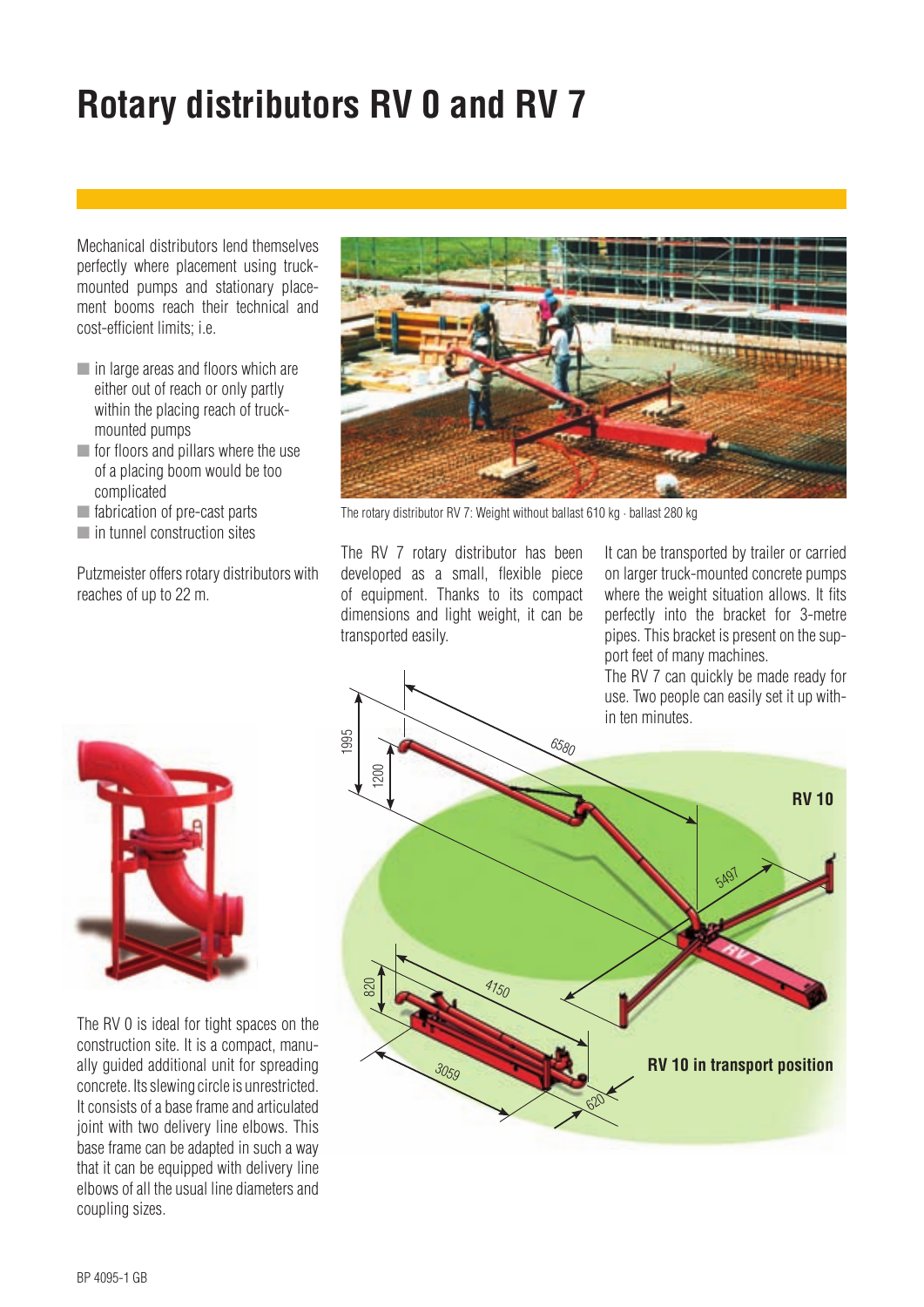# **Rotary distributors RV 0 and RV 7**

Mechanical distributors lend themselves perfectly where placement using truckmounted pumps and stationary placement booms reach their technical and cost-efficient limits; i.e.

- in large areas and floors which are either out of reach or only partly within the placing reach of truckmounted pumps
- for floors and pillars where the use of a placing boom would be too complicated
- fabrication of pre-cast parts
- in tunnel construction sites

Putzmeister offers rotary distributors with reaches of up to 22 m.



The rotary distributor RV 7: Weight without ballast 610 kg · ballast 280 kg

The RV 7 rotary distributor has been developed as a small, flexible piece of equipment. Thanks to its compact dimensions and light weight, it can be transported easily.

It can be transported by trailer or carried on larger truck-mounted concrete pumps where the weight situation allows. It fits perfectly into the bracket for 3-metre pipes. This bracket is present on the support feet of many machines.

The RV 7 can quickly be made ready for use. Two people can easily set it up within ten minutes.





The RV 0 is ideal for tight spaces on the construction site. It is a compact, manually guided additional unit for spreading concrete. Its slewing circle is unrestricted. It consists of a base frame and articulated joint with two delivery line elbows. This base frame can be adapted in such a way that it can be equipped with delivery line elbows of all the usual line diameters and coupling sizes.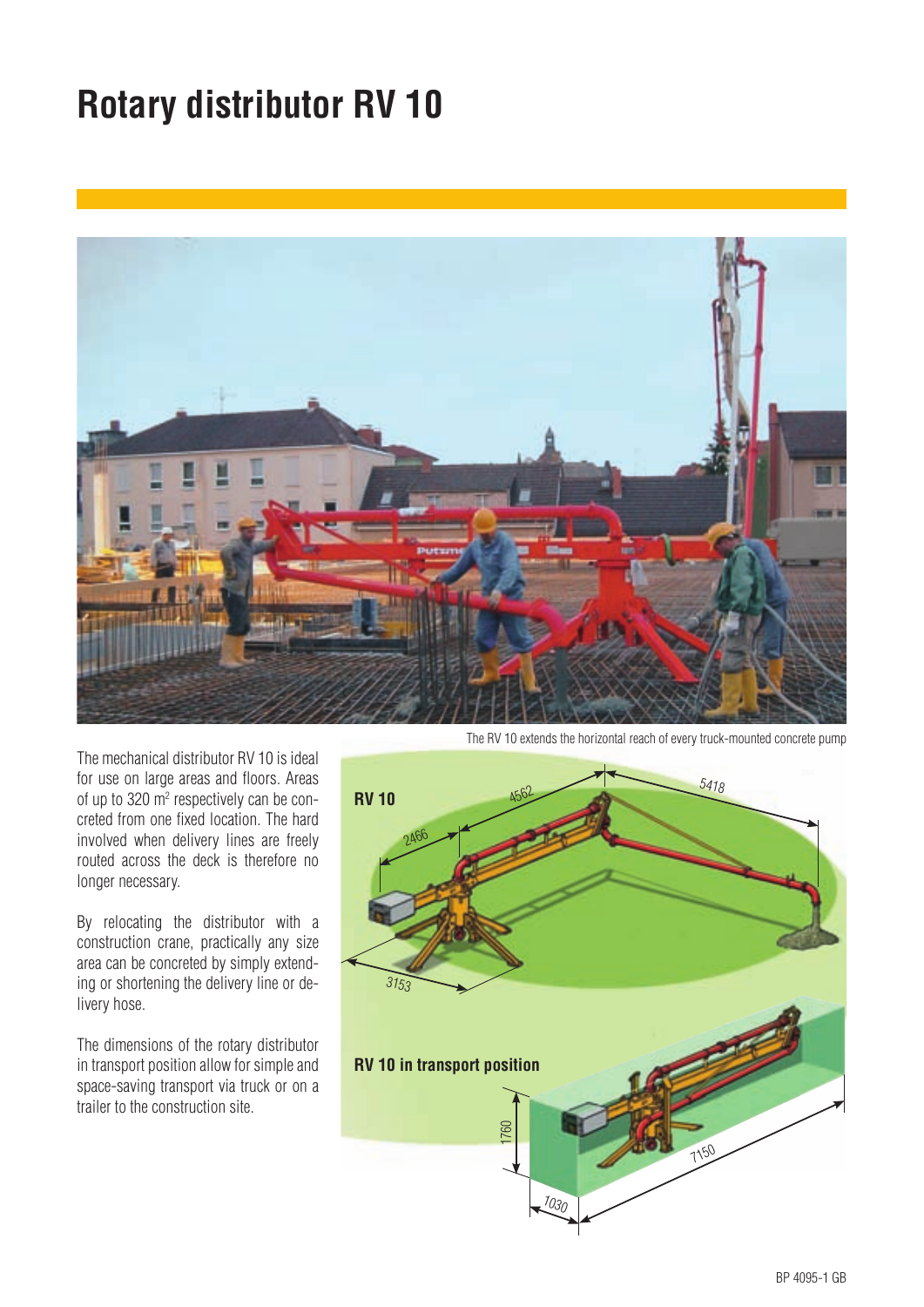### **Rotary distributor RV 10**



The mechanical distributor RV 10 is ideal for use on large areas and floors. Areas of up to 320 m<sup>2</sup> respectively can be concreted from one fixed location. The hard involved when delivery lines are freely routed across the deck is therefore no longer necessary.

By relocating the distributor with a construction crane, practically any size area can be concreted by simply extending or shortening the delivery line or delivery hose.

The dimensions of the rotary distributor in transport position allow for simple and space-saving transport via truck or on a trailer to the construction site.

The RV 10 extends the horizontal reach of every truck-mounted concrete pump

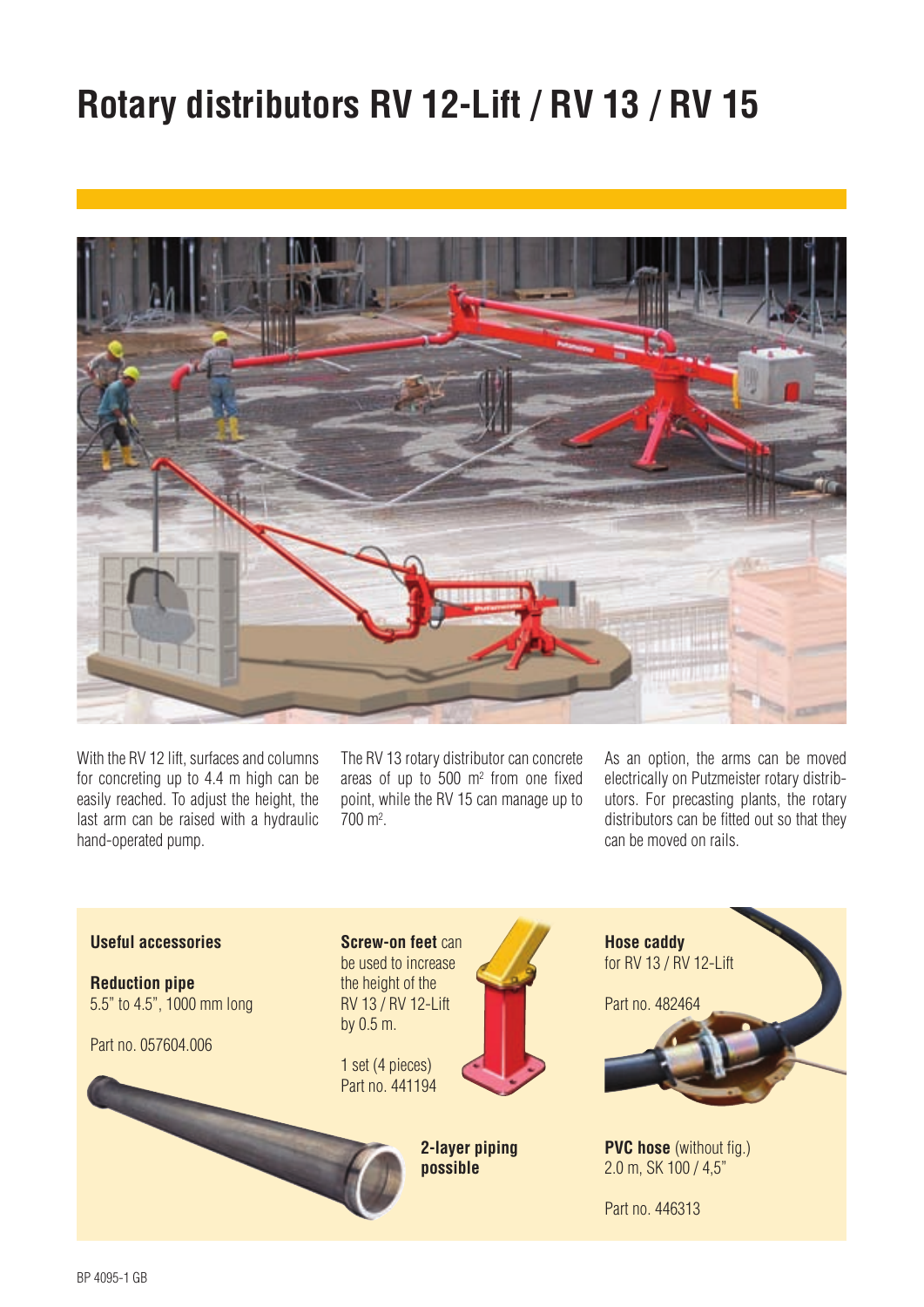## **Rotary distributors RV 12-Lift / RV 13 / RV 15**



With the RV 12 lift, surfaces and columns for concreting up to 4.4 m high can be easily reached. To adjust the height, the last arm can be raised with a hydraulic hand-operated pump.

The RV 13 rotary distributor can concrete areas of up to  $500 \, \text{m}^2$  from one fixed point, while the RV 15 can manage up to 700 m2 .

As an option, the arms can be moved electrically on Putzmeister rotary distributors. For precasting plants, the rotary distributors can be fitted out so that they can be moved on rails.

#### **Useful accessories Reduction pipe** 5.5" to 4.5", 1000 mm long Part no. 057604.006 **Screw-on feet** can be used to increase the height of the RV 13 / RV 12-Lift by 0.5 m. 1 set (4 pieces) Part no. 441194 **Hose caddy**  for RV 13 / RV 12-Lift Part no. 482464 **PVC hose** (without fig.) 2.0 m, SK 100 / 4,5" Part no. 446313 **2-layer piping possible**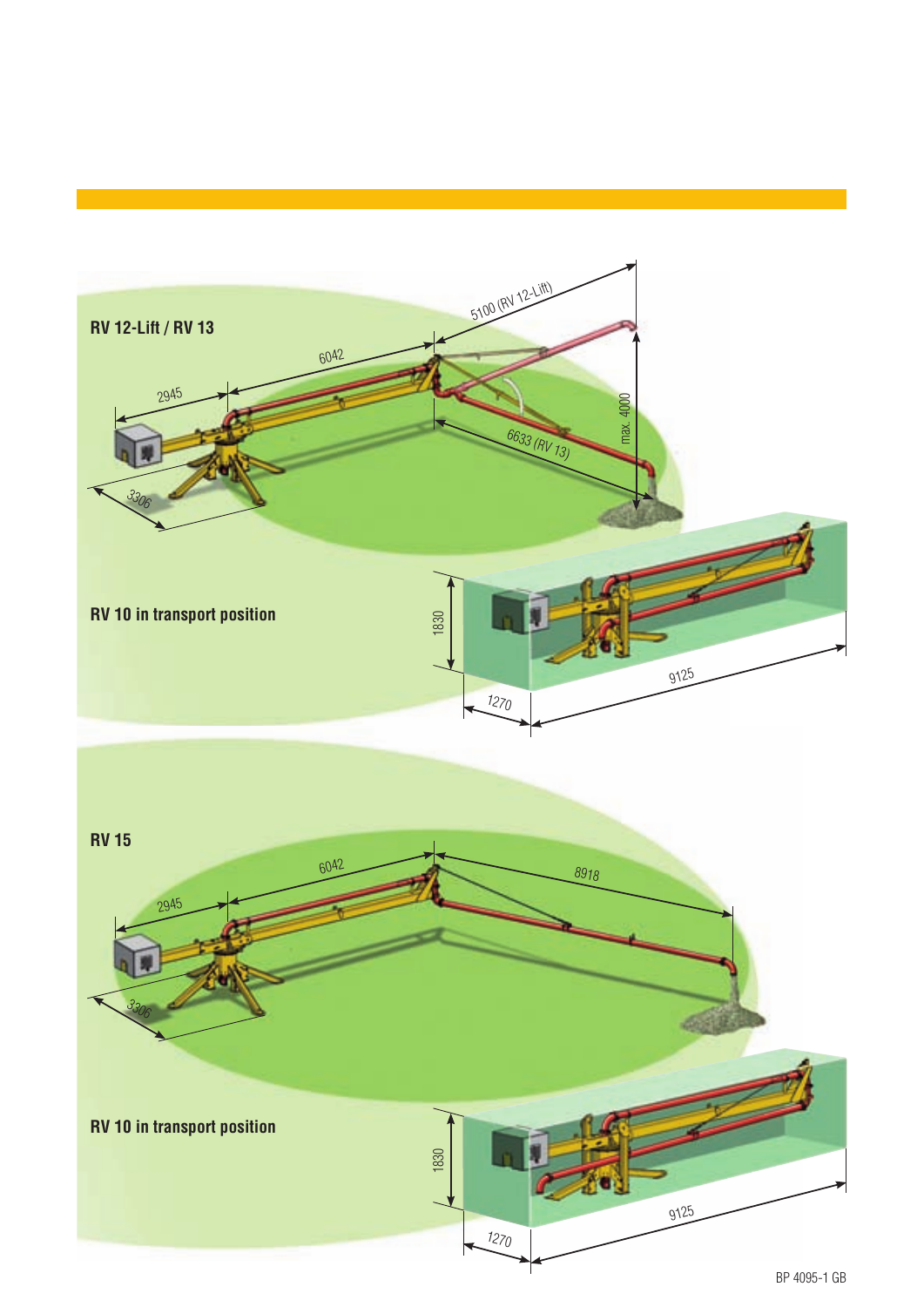